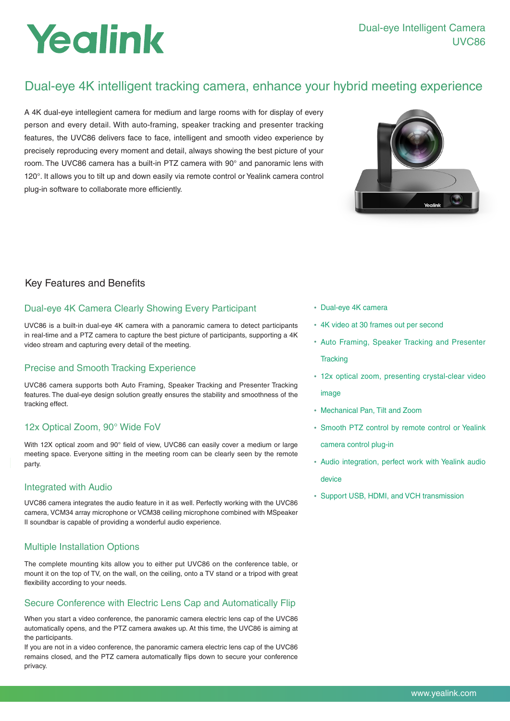# Yealink

## Dual-eye 4K intelligent tracking camera, enhance your hybrid meeting experience

A 4K dual-eye intellegient camera for medium and large rooms with for display of every person and every detail. With auto-framing, speaker tracking and presenter tracking features, the UVC86 delivers face to face, intelligent and smooth video experience by precisely reproducing every moment and detail, always showing the best picture of your room. The UVC86 camera has a built-in PTZ camera with 90° and panoramic lens with 120°. It allows you to tilt up and down easily via remote control or Yealink camera control plug-in software to collaborate more efficiently.



## Key Features and Benefits

## Dual-eye 4K Camera Clearly Showing Every Participant

UVC86 is a built-in dual-eye 4K camera with a panoramic camera to detect participants in real-time and a PTZ camera to capture the best picture of participants, supporting a 4K video stream and capturing every detail of the meeting.

## Precise and Smooth Tracking Experience

UVC86 camera supports both Auto Framing, Speaker Tracking and Presenter Tracking features. The dual-eye design solution greatly ensures the stability and smoothness of the tracking effect.

## 12x Optical Zoom, 90° Wide FoV

With 12X optical zoom and 90° field of view, UVC86 can easily cover a medium or large meeting space. Everyone sitting in the meeting room can be clearly seen by the remote party.

### Integrated with Audio

UVC86 camera integrates the audio feature in it as well. Perfectly working with the UVC86 camera, VCM34 array microphone or VCM38 ceiling microphone combined with MSpeaker II soundbar is capable of providing a wonderful audio experience.

## Multiple Installation Options

The complete mounting kits allow you to either put UVC86 on the conference table, or mount it on the top of TV, on the wall, on the ceiling, onto a TV stand or a tripod with great flexibility according to your needs.

## Secure Conference with Electric Lens Cap and Automatically Flip

When you start a video conference, the panoramic camera electric lens cap of the UVC86 automatically opens, and the PTZ camera awakes up. At this time, the UVC86 is aiming at the participants.

If you are not in a video conference, the panoramic camera electric lens cap of the UVC86 remains closed, and the PTZ camera automatically flips down to secure your conference privacy.

- Dual-eye 4K camera
- 4K video at 30 frames out per second
- Auto Framing, Speaker Tracking and Presenter **Tracking**
- 12x optical zoom, presenting crystal-clear video image
- Mechanical Pan, Tilt and Zoom
- Smooth PTZ control by remote control or Yealink camera control plug-in
- Audio integration, perfect work with Yealink audio device
- Support USB, HDMI, and VCH transmission